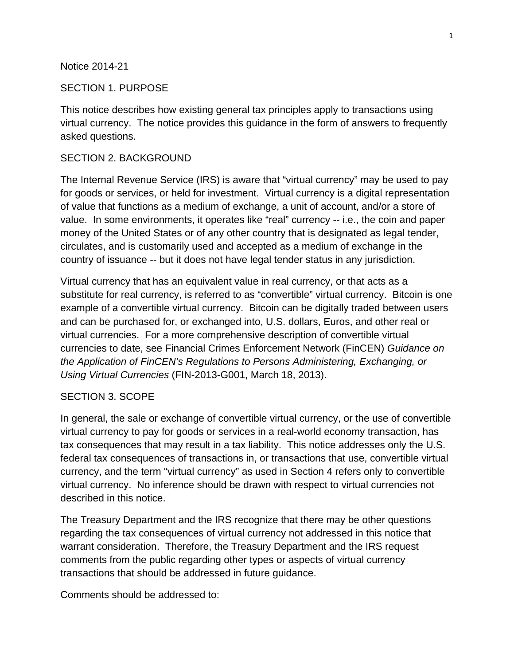#### Notice 2014-21

#### SECTION 1. PURPOSE

This notice describes how existing general tax principles apply to transactions using virtual currency. The notice provides this guidance in the form of answers to frequently asked questions.

#### SECTION 2. BACKGROUND

The Internal Revenue Service (IRS) is aware that "virtual currency" may be used to pay for goods or services, or held for investment. Virtual currency is a digital representation of value that functions as a medium of exchange, a unit of account, and/or a store of value. In some environments, it operates like "real" currency -- i.e., the coin and paper money of the United States or of any other country that is designated as legal tender, circulates, and is customarily used and accepted as a medium of exchange in the country of issuance -- but it does not have legal tender status in any jurisdiction.

Virtual currency that has an equivalent value in real currency, or that acts as a substitute for real currency, is referred to as "convertible" virtual currency. Bitcoin is one example of a convertible virtual currency. Bitcoin can be digitally traded between users and can be purchased for, or exchanged into, U.S. dollars, Euros, and other real or virtual currencies. For a more comprehensive description of convertible virtual currencies to date, see Financial Crimes Enforcement Network (FinCEN) *Guidance on the Application of FinCEN's Regulations to Persons Administering, Exchanging, or Using Virtual Currencies* (FIN-2013-G001, March 18, 2013).

#### SECTION 3. SCOPE

In general, the sale or exchange of convertible virtual currency, or the use of convertible virtual currency to pay for goods or services in a real-world economy transaction, has tax consequences that may result in a tax liability. This notice addresses only the U.S. federal tax consequences of transactions in, or transactions that use, convertible virtual currency, and the term "virtual currency" as used in Section 4 refers only to convertible virtual currency. No inference should be drawn with respect to virtual currencies not described in this notice.

The Treasury Department and the IRS recognize that there may be other questions regarding the tax consequences of virtual currency not addressed in this notice that warrant consideration. Therefore, the Treasury Department and the IRS request comments from the public regarding other types or aspects of virtual currency transactions that should be addressed in future guidance.

Comments should be addressed to: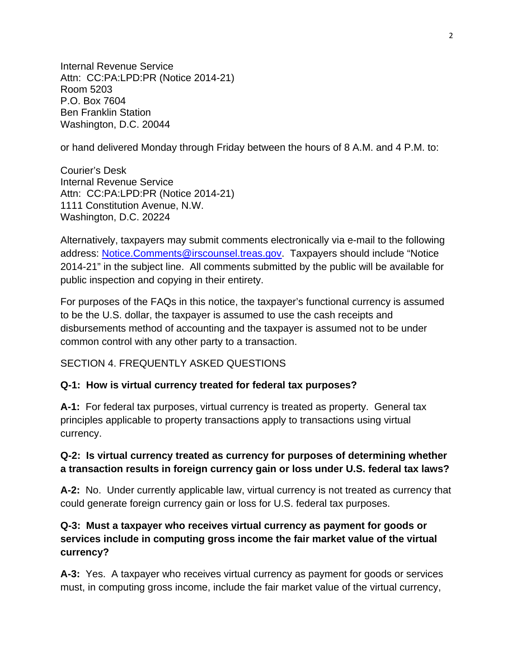Internal Revenue Service Attn: CC:PA:LPD:PR (Notice 2014-21) Room 5203 P.O. Box 7604 Ben Franklin Station Washington, D.C. 20044

or hand delivered Monday through Friday between the hours of 8 A.M. and 4 P.M. to:

Courier's Desk Internal Revenue Service Attn: CC:PA:LPD:PR (Notice 2014-21) 1111 Constitution Avenue, N.W. Washington, D.C. 20224

Alternatively, taxpayers may submit comments electronically via e-mail to the following address: [Notice.Comments@irscounsel.treas.gov.](mailto:Notice.Comments@irscounsel.treas.gov) Taxpayers should include "Notice 2014-21" in the subject line. All comments submitted by the public will be available for public inspection and copying in their entirety.

For purposes of the FAQs in this notice, the taxpayer's functional currency is assumed to be the U.S. dollar, the taxpayer is assumed to use the cash receipts and disbursements method of accounting and the taxpayer is assumed not to be under common control with any other party to a transaction.

### SECTION 4. FREQUENTLY ASKED QUESTIONS

#### **Q-1: How is virtual currency treated for federal tax purposes?**

**A-1:** For federal tax purposes, virtual currency is treated as property. General tax principles applicable to property transactions apply to transactions using virtual currency.

### **Q-2: Is virtual currency treated as currency for purposes of determining whether a transaction results in foreign currency gain or loss under U.S. federal tax laws?**

**A-2:** No. Under currently applicable law, virtual currency is not treated as currency that could generate foreign currency gain or loss for U.S. federal tax purposes.

### **Q-3: Must a taxpayer who receives virtual currency as payment for goods or services include in computing gross income the fair market value of the virtual currency?**

**A-3:** Yes. A taxpayer who receives virtual currency as payment for goods or services must, in computing gross income, include the fair market value of the virtual currency,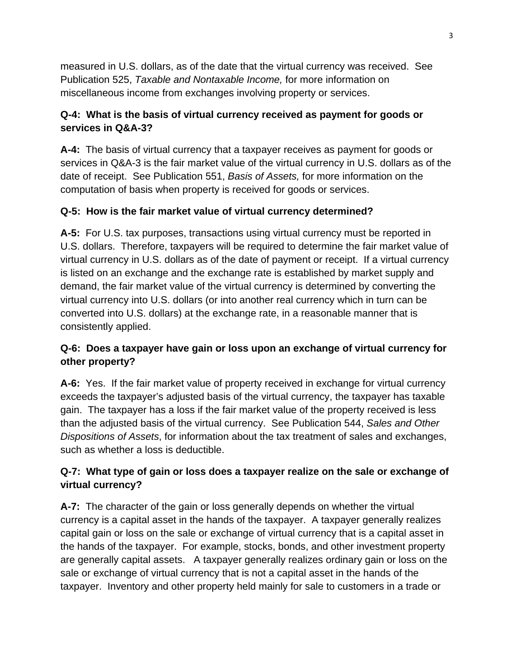measured in U.S. dollars, as of the date that the virtual currency was received. See Publication 525, *Taxable and Nontaxable Income,* for more information on miscellaneous income from exchanges involving property or services.

### **Q-4: What is the basis of virtual currency received as payment for goods or services in Q&A-3?**

**A-4:** The basis of virtual currency that a taxpayer receives as payment for goods or services in Q&A-3 is the fair market value of the virtual currency in U.S. dollars as of the date of receipt. See Publication 551, *Basis of Assets,* for more information on the computation of basis when property is received for goods or services.

# **Q-5: How is the fair market value of virtual currency determined?**

**A-5:** For U.S. tax purposes, transactions using virtual currency must be reported in U.S. dollars. Therefore, taxpayers will be required to determine the fair market value of virtual currency in U.S. dollars as of the date of payment or receipt. If a virtual currency is listed on an exchange and the exchange rate is established by market supply and demand, the fair market value of the virtual currency is determined by converting the virtual currency into U.S. dollars (or into another real currency which in turn can be converted into U.S. dollars) at the exchange rate, in a reasonable manner that is consistently applied.

# **Q-6: Does a taxpayer have gain or loss upon an exchange of virtual currency for other property?**

**A-6:** Yes. If the fair market value of property received in exchange for virtual currency exceeds the taxpayer's adjusted basis of the virtual currency, the taxpayer has taxable gain. The taxpayer has a loss if the fair market value of the property received is less than the adjusted basis of the virtual currency. See Publication 544, *Sales and Other Dispositions of Assets*, for information about the tax treatment of sales and exchanges, such as whether a loss is deductible.

# **Q-7: What type of gain or loss does a taxpayer realize on the sale or exchange of virtual currency?**

**A-7:** The character of the gain or loss generally depends on whether the virtual currency is a capital asset in the hands of the taxpayer. A taxpayer generally realizes capital gain or loss on the sale or exchange of virtual currency that is a capital asset in the hands of the taxpayer. For example, stocks, bonds, and other investment property are generally capital assets. A taxpayer generally realizes ordinary gain or loss on the sale or exchange of virtual currency that is not a capital asset in the hands of the taxpayer. Inventory and other property held mainly for sale to customers in a trade or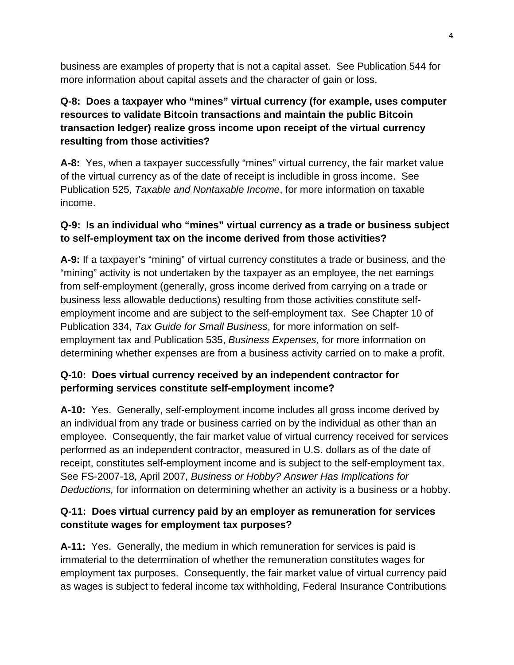business are examples of property that is not a capital asset. See Publication 544 for more information about capital assets and the character of gain or loss.

# **Q-8: Does a taxpayer who "mines" virtual currency (for example, uses computer resources to validate Bitcoin transactions and maintain the public Bitcoin transaction ledger) realize gross income upon receipt of the virtual currency resulting from those activities?**

**A-8:** Yes, when a taxpayer successfully "mines" virtual currency, the fair market value of the virtual currency as of the date of receipt is includible in gross income. See Publication 525, *Taxable and Nontaxable Income*, for more information on taxable income.

# **Q-9: Is an individual who "mines" virtual currency as a trade or business subject to self-employment tax on the income derived from those activities?**

**A-9:** If a taxpayer's "mining" of virtual currency constitutes a trade or business, and the "mining" activity is not undertaken by the taxpayer as an employee, the net earnings from self-employment (generally, gross income derived from carrying on a trade or business less allowable deductions) resulting from those activities constitute selfemployment income and are subject to the self-employment tax. See Chapter 10 of Publication 334, *Tax Guide for Small Business*, for more information on selfemployment tax and Publication 535, *Business Expenses,* for more information on determining whether expenses are from a business activity carried on to make a profit.

# **Q-10: Does virtual currency received by an independent contractor for performing services constitute self-employment income?**

**A-10:** Yes. Generally, self-employment income includes all gross income derived by an individual from any trade or business carried on by the individual as other than an employee. Consequently, the fair market value of virtual currency received for services performed as an independent contractor, measured in U.S. dollars as of the date of receipt, constitutes self-employment income and is subject to the self-employment tax. See FS-2007-18, April 2007, *Business or Hobby? Answer Has Implications for Deductions,* for information on determining whether an activity is a business or a hobby.

# **Q-11: Does virtual currency paid by an employer as remuneration for services constitute wages for employment tax purposes?**

**A-11:** Yes. Generally, the medium in which remuneration for services is paid is immaterial to the determination of whether the remuneration constitutes wages for employment tax purposes. Consequently, the fair market value of virtual currency paid as wages is subject to federal income tax withholding, Federal Insurance Contributions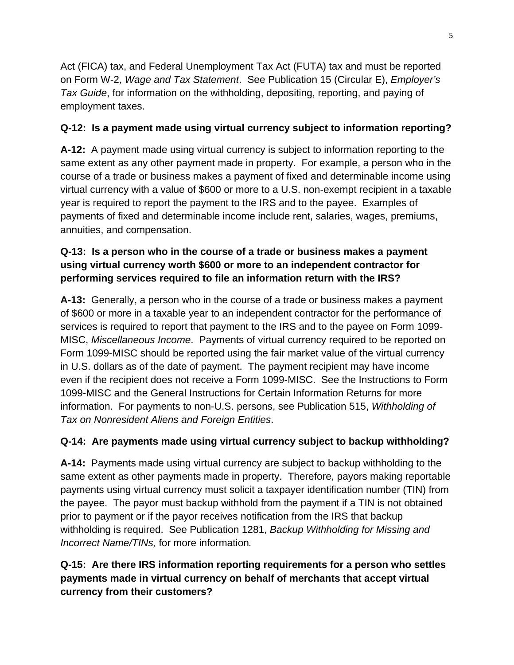Act (FICA) tax, and Federal Unemployment Tax Act (FUTA) tax and must be reported on Form W-2, *Wage and Tax Statement*. See Publication 15 (Circular E), *Employer's Tax Guide*, for information on the withholding, depositing, reporting, and paying of employment taxes.

# **Q-12: Is a payment made using virtual currency subject to information reporting?**

**A-12:** A payment made using virtual currency is subject to information reporting to the same extent as any other payment made in property. For example, a person who in the course of a trade or business makes a payment of fixed and determinable income using virtual currency with a value of \$600 or more to a U.S. non-exempt recipient in a taxable year is required to report the payment to the IRS and to the payee. Examples of payments of fixed and determinable income include rent, salaries, wages, premiums, annuities, and compensation.

# **Q-13: Is a person who in the course of a trade or business makes a payment using virtual currency worth \$600 or more to an independent contractor for performing services required to file an information return with the IRS?**

**A-13:** Generally, a person who in the course of a trade or business makes a payment of \$600 or more in a taxable year to an independent contractor for the performance of services is required to report that payment to the IRS and to the payee on Form 1099- MISC, *Miscellaneous Income*. Payments of virtual currency required to be reported on Form 1099-MISC should be reported using the fair market value of the virtual currency in U.S. dollars as of the date of payment. The payment recipient may have income even if the recipient does not receive a Form 1099-MISC. See the Instructions to Form 1099-MISC and the General Instructions for Certain Information Returns for more information. For payments to non-U.S. persons, see Publication 515, *Withholding of Tax on Nonresident Aliens and Foreign Entities*.

# **Q-14: Are payments made using virtual currency subject to backup withholding?**

**A-14:** Payments made using virtual currency are subject to backup withholding to the same extent as other payments made in property. Therefore, payors making reportable payments using virtual currency must solicit a taxpayer identification number (TIN) from the payee. The payor must backup withhold from the payment if a TIN is not obtained prior to payment or if the payor receives notification from the IRS that backup withholding is required. See Publication 1281, *Backup Withholding for Missing and Incorrect Name/TINs,* for more information*.*

# **Q-15: Are there IRS information reporting requirements for a person who settles payments made in virtual currency on behalf of merchants that accept virtual currency from their customers?**